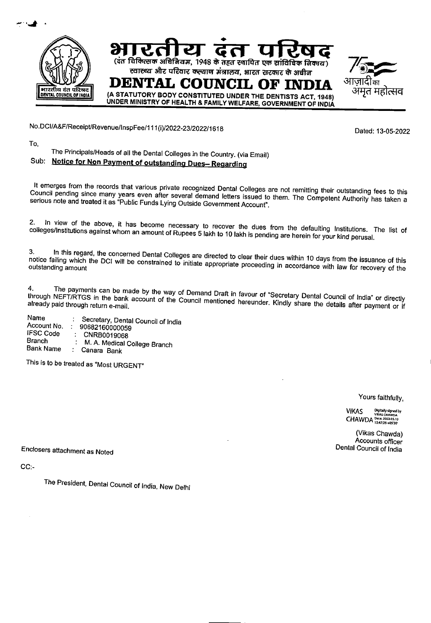

No.DCl/A&F/Receipt/Revenue/InspFee/1 11(i)/2022-23/202211618

Dated: 13-05-2022

To,

## The Principals/Heads of all the Dental Colleges in the Country. (via Email) Sub: Notice for Non Payment of outstanding Dues-Regarding

It emerges from the records that various private recognized Dental Colleges are not remitting their outstanding fees to this Council pending since many years even after several demand letters issued to them. The Competent Authority has taken a serious note and treated it as "Public Funds Lying Outside Government Account".

2. In view of the above, it has become necessary to recover the dues from the defaulting Institutions. The list of colleges/Institutions against whom an amount of Rupees 5 lakh to 10 lakh is pending are herein for your kind perusal.

3. In this regard, the concerned Dental Colleges are directed to clear their dues within 10 days from the issuance of this notice failing which the DCI will be constrained to initiate appropriate proceeding in accordance with law for recovery of the

4. The payments can be made by the way of Demand Draft in favour of "Secretary Dental Council of India" or directly through NEFT/RTGS in the bank account of the Council mentioned hereunder. Kindly share the details after payment or if

Name : Secretary, Dental Council of India<br>Account No. : 90682160000059 Account No. : 90682160000059<br>IFSC Code : CNRR0019068 IFSC Code : CNRB0019068<br>Branch · M A Medical C Branch : M. A. Medical College Branch<br>Bank Name : Canara Bank Canara Bank

This is to be treated as 'Most URGENT"

Yours faithfully,

VIKAS Digitally signed by CHAWDA Date: 2022.05.13

(Vikas Chawda) Accounts officer Dental Council of India

Enclosers attachment as Noted

CC:-

The President, Dental Council of India, New Delhi